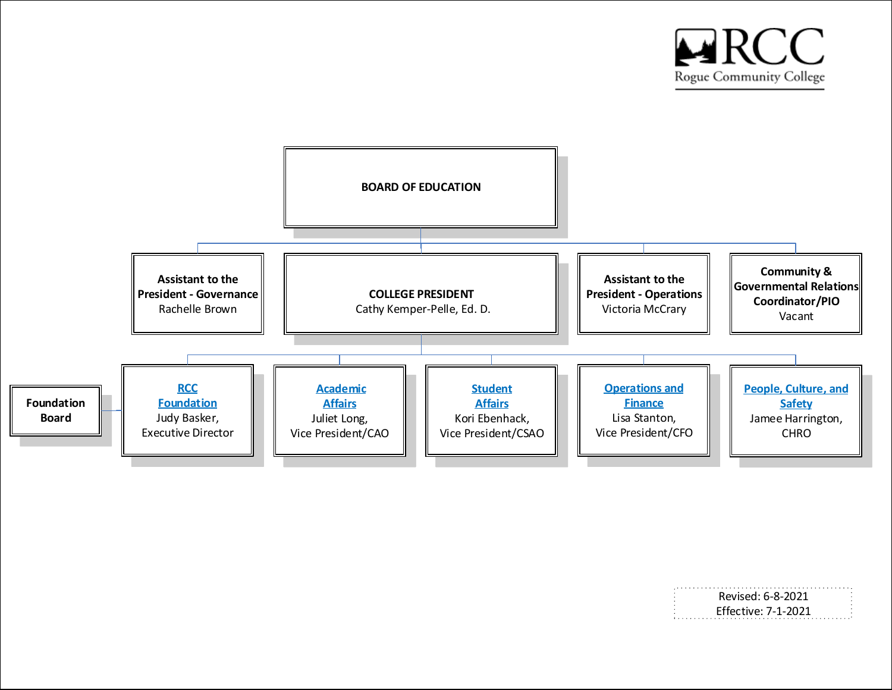

<span id="page-0-0"></span>

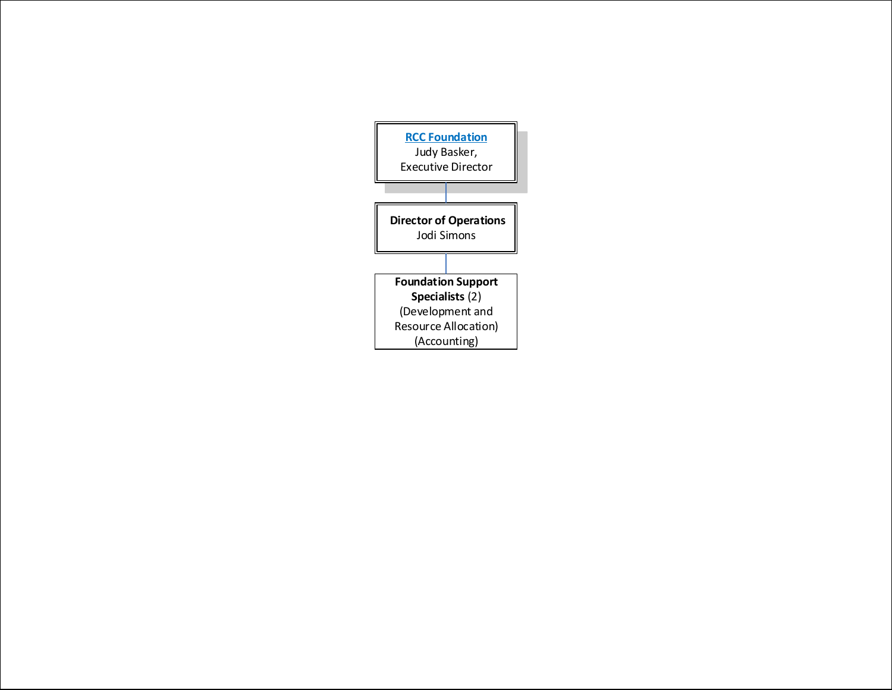<span id="page-1-0"></span>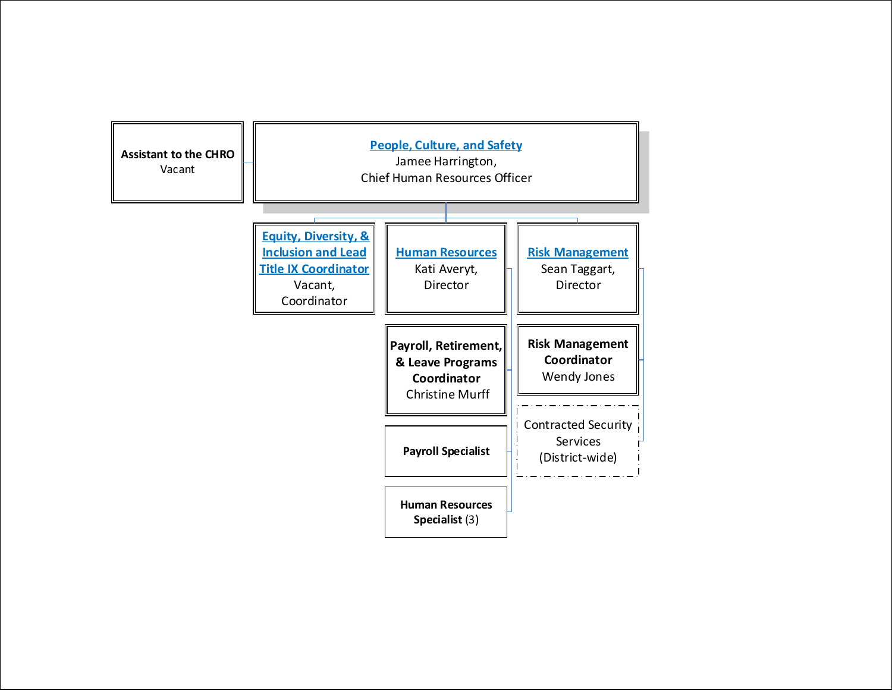<span id="page-2-0"></span>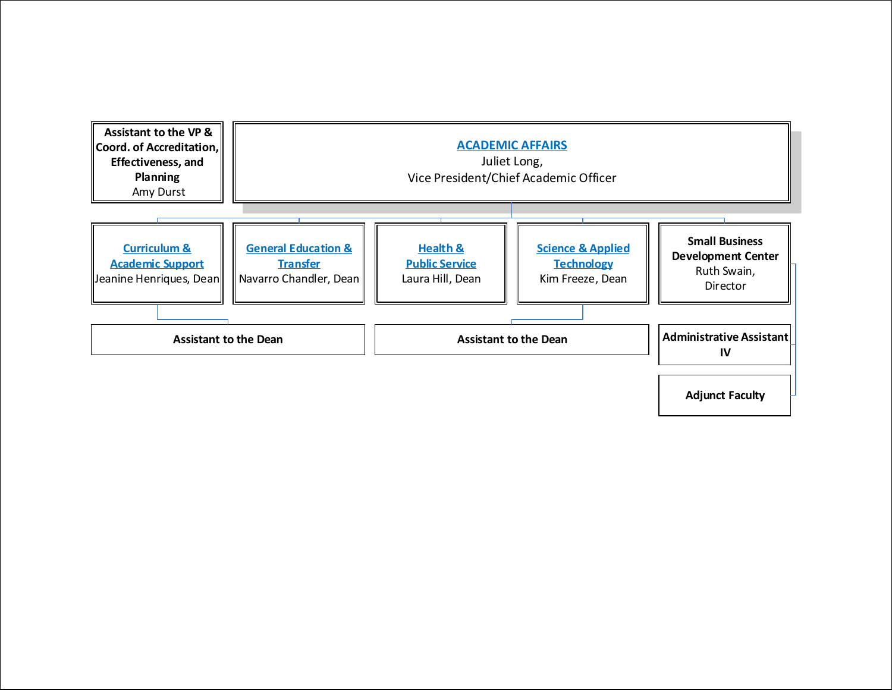<span id="page-3-0"></span>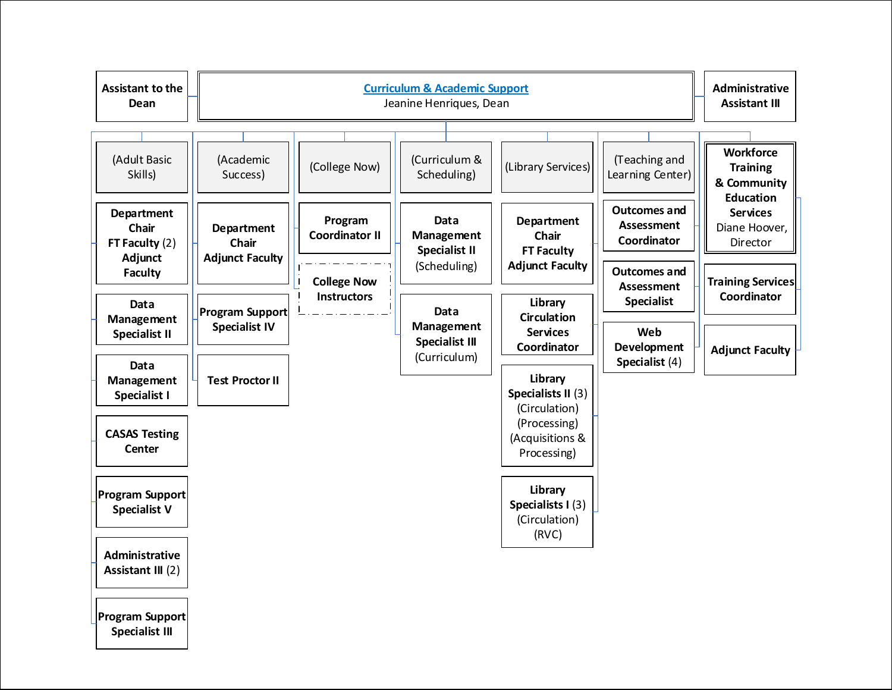<span id="page-4-0"></span>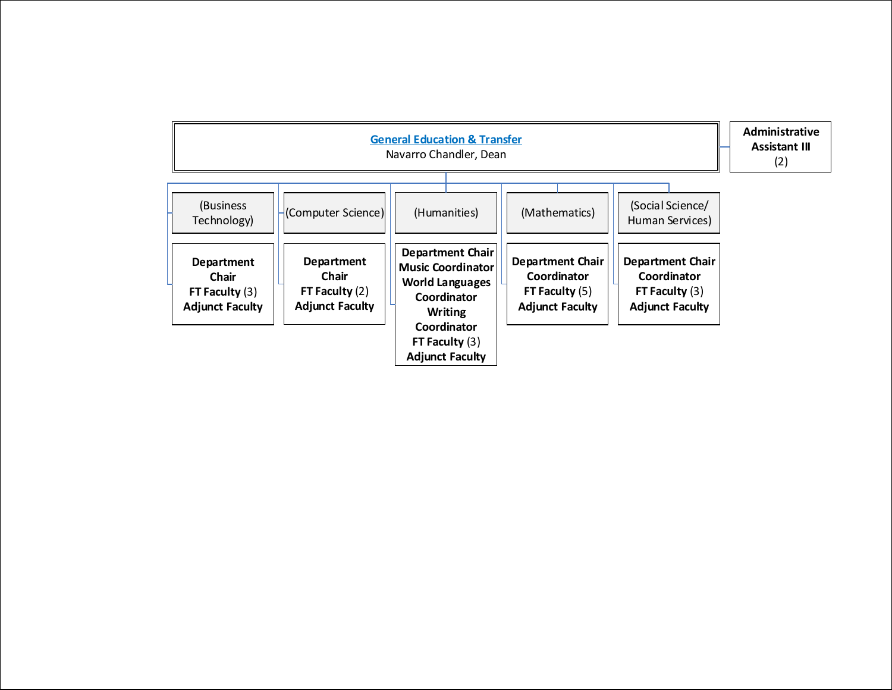<span id="page-5-0"></span>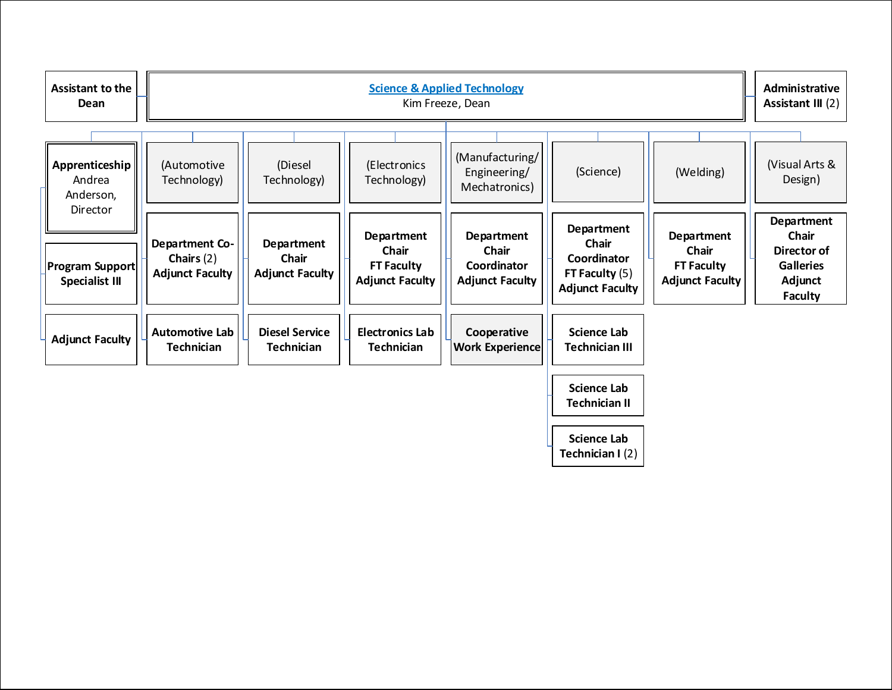<span id="page-6-0"></span>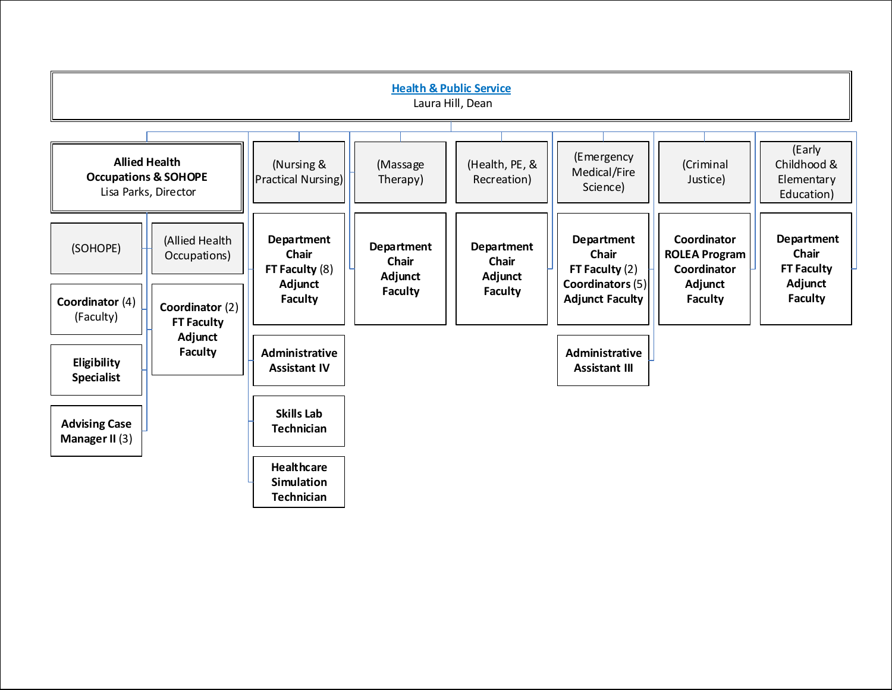<span id="page-7-0"></span>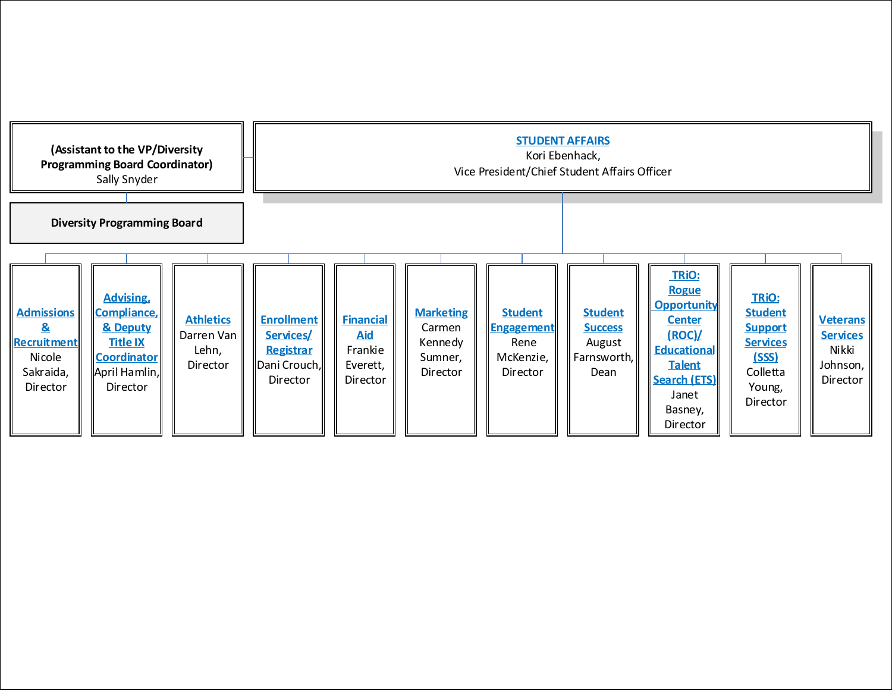<span id="page-8-0"></span>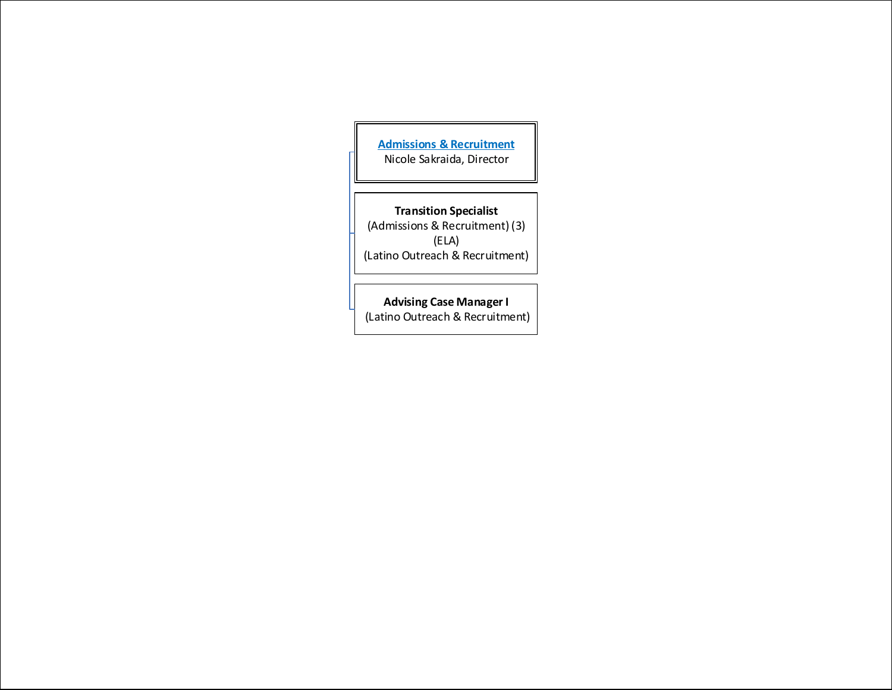<span id="page-9-0"></span>**[Admissions & Recruitment](#page-8-0)** Nicole Sakraida, Director

**Transition Specialist** (Admissions & Recruitment) (3) (ELA) (Latino Outreach & Recruitment)

**Advising Case Manager I** (Latino Outreach & Recruitment)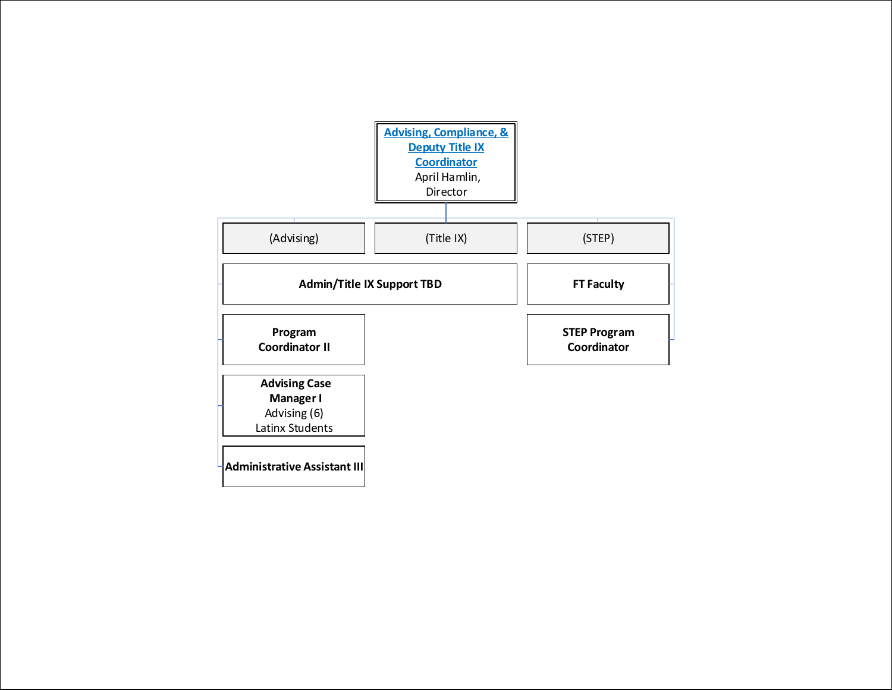<span id="page-10-0"></span>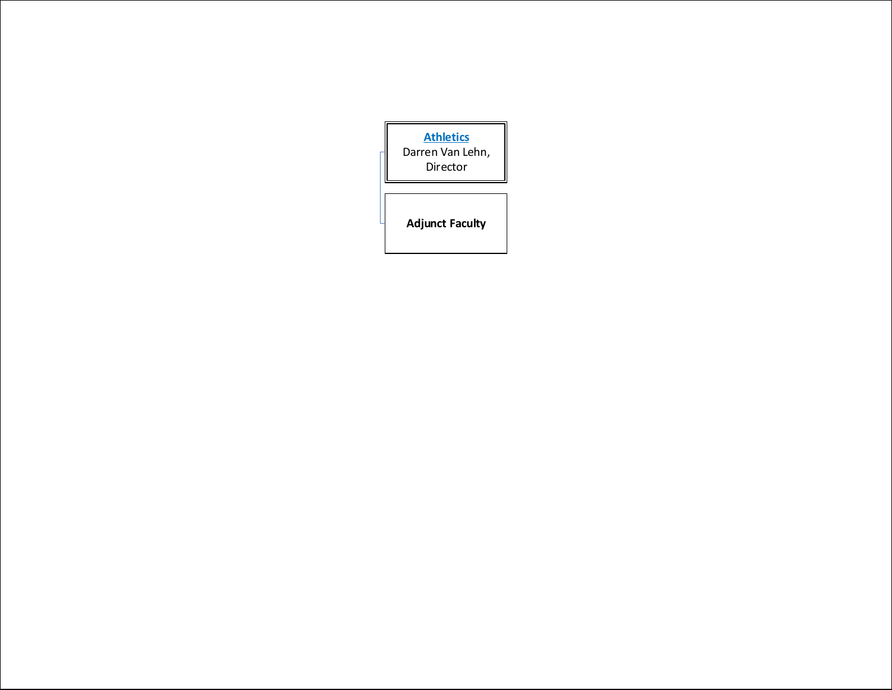<span id="page-11-0"></span>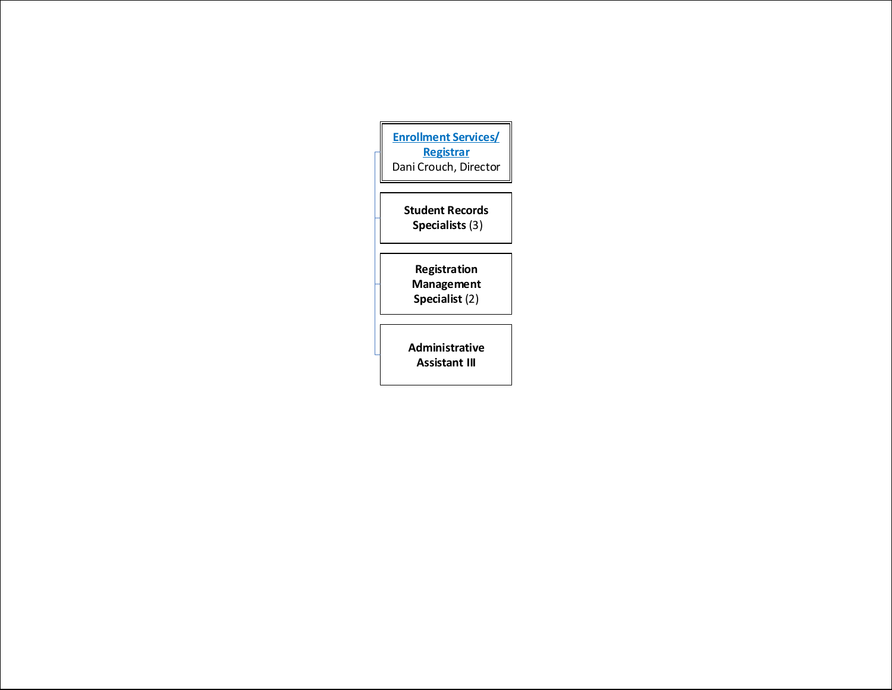<span id="page-12-0"></span>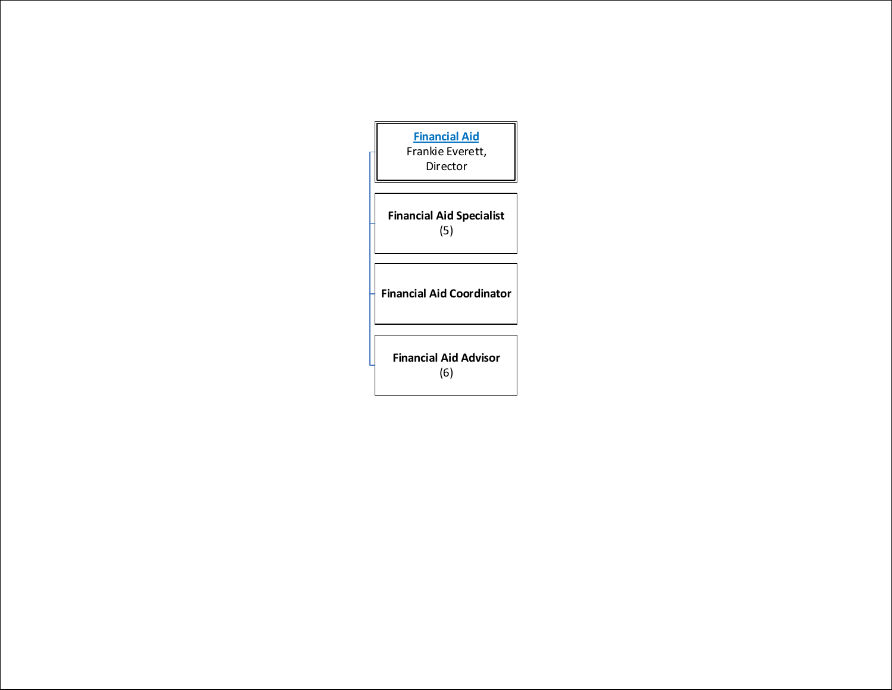<span id="page-13-0"></span>

| <b>Financial Aid</b><br>Frankie Everett,<br>Director |  |  |
|------------------------------------------------------|--|--|
| <b>Financial Aid Specialist</b><br>(5)               |  |  |
| <b>Financial Aid Coordinator</b>                     |  |  |
| <b>Financial Aid Advisor</b><br>(6)                  |  |  |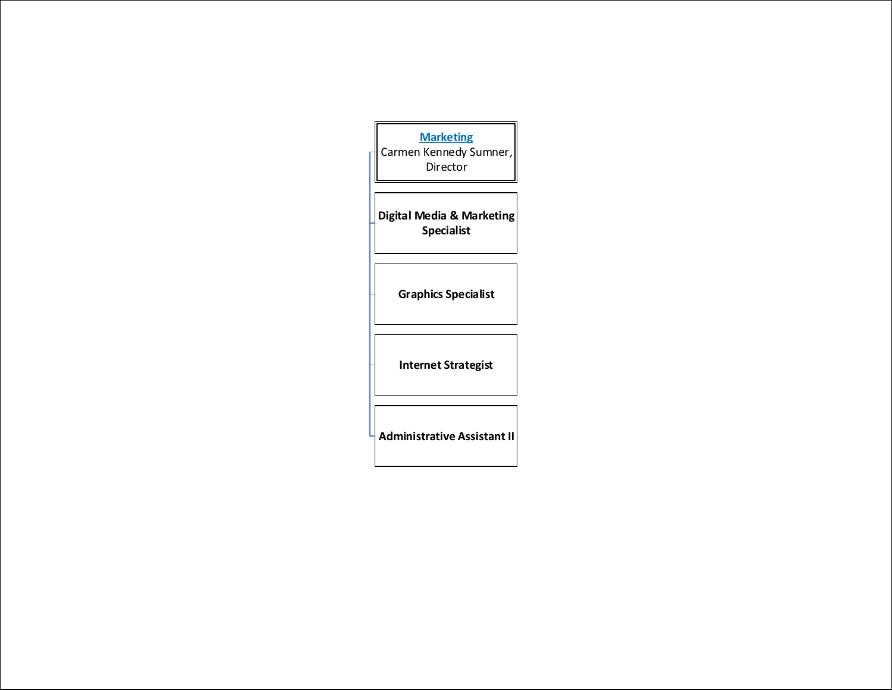<span id="page-14-0"></span>

| <b>Marketing</b><br>Carmen Kennedy Sumner,<br>Director |  |  |
|--------------------------------------------------------|--|--|
|                                                        |  |  |
| Digital Media & Marketing<br><b>Specialist</b>         |  |  |
|                                                        |  |  |
| <b>Graphics Specialist</b>                             |  |  |
| <b>Internet Strategist</b>                             |  |  |
| <b>Administrative Assistant II</b>                     |  |  |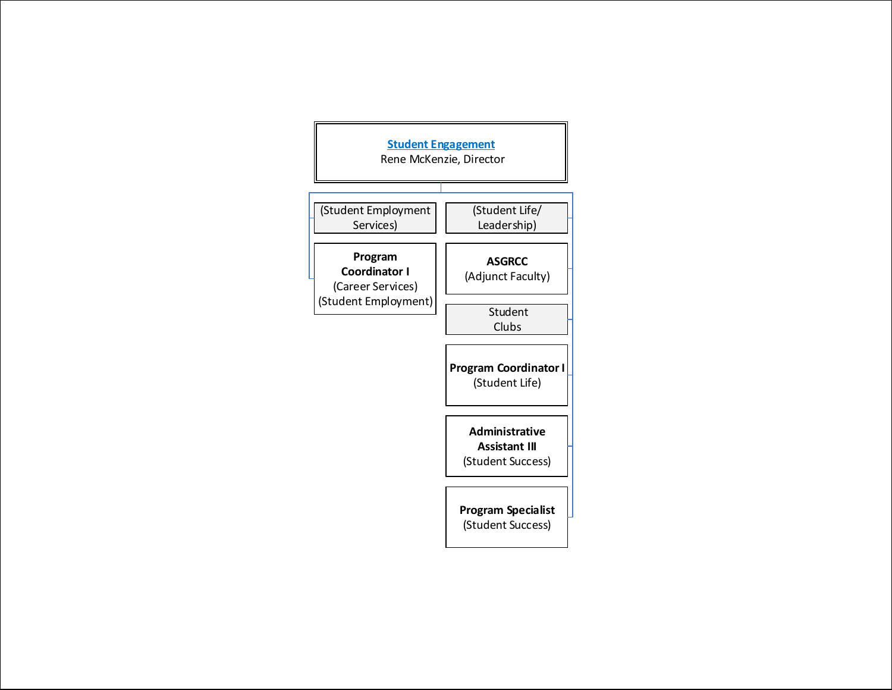<span id="page-15-0"></span>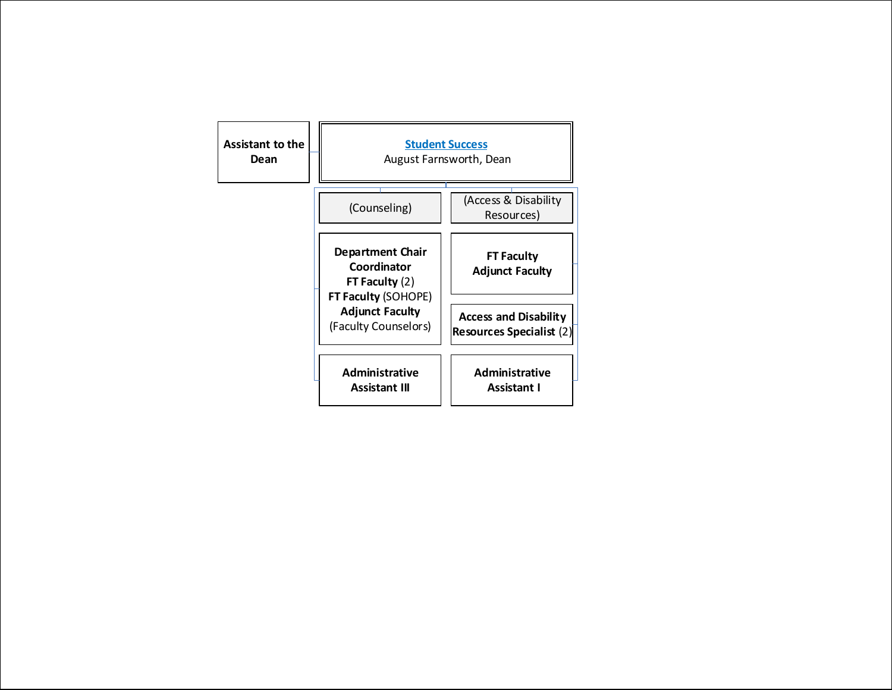<span id="page-16-0"></span>

| <b>Assistant to the</b><br>Dean | <b>Student Success</b><br>August Farnsworth, Dean                          |                                                                 |
|---------------------------------|----------------------------------------------------------------------------|-----------------------------------------------------------------|
|                                 | (Counseling)                                                               | (Access & Disability<br>Resources)                              |
|                                 | Department Chair<br>Coordinator<br>FT Faculty $(2)$<br>FT Faculty (SOHOPE) | <b>FT Faculty</b><br><b>Adjunct Faculty</b>                     |
|                                 | <b>Adjunct Faculty</b><br>(Faculty Counselors)                             | <b>Access and Disability</b><br><b>Resources Specialist (2)</b> |
|                                 | <b>Administrative</b><br><b>Assistant III</b>                              | <b>Administrative</b><br><b>Assistant I</b>                     |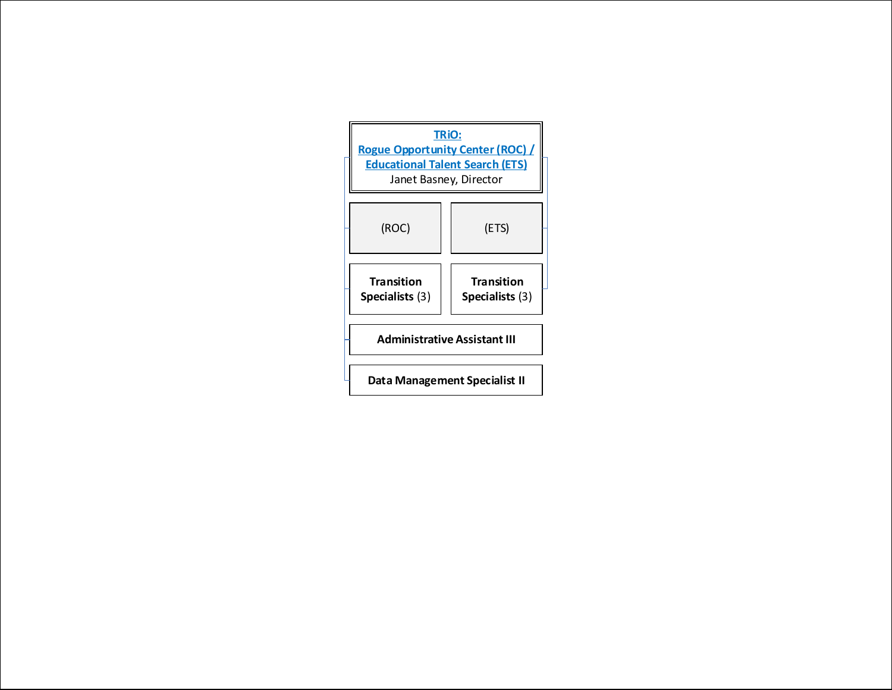<span id="page-17-0"></span>

| TRIO:<br><b>Rogue Opportunity Center (ROC)</b><br><b>Educational Talent Search (ETS)</b><br>Janet Basney, Director |                                      |  |
|--------------------------------------------------------------------------------------------------------------------|--------------------------------------|--|
| (ROC)                                                                                                              | (ETS)                                |  |
| <b>Transition</b><br>Specialists (3)                                                                               | <b>Transition</b><br>Specialists (3) |  |
| <b>Administrative Assistant III</b>                                                                                |                                      |  |
| Data Management Specialist II                                                                                      |                                      |  |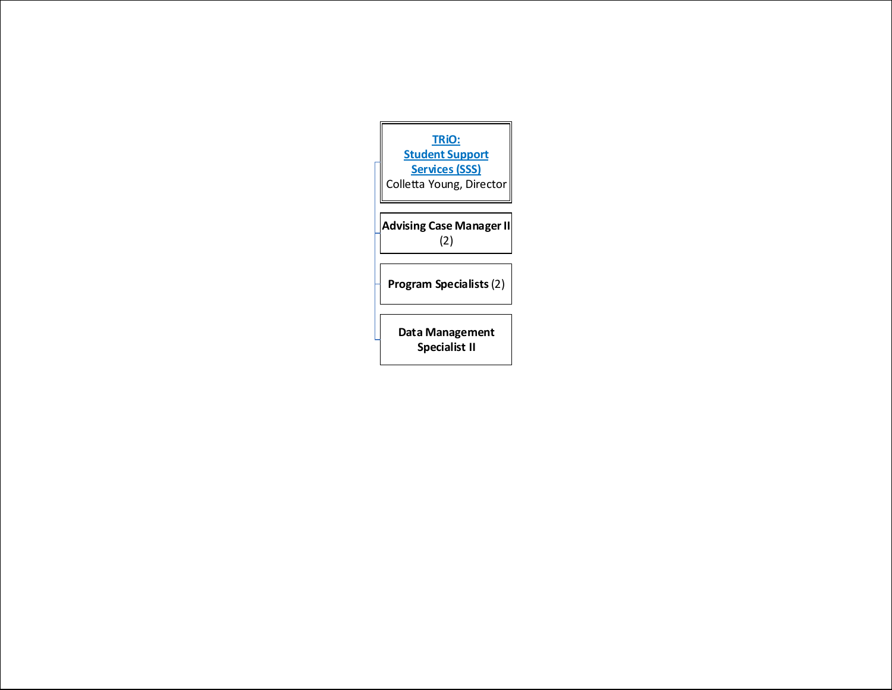<span id="page-18-0"></span>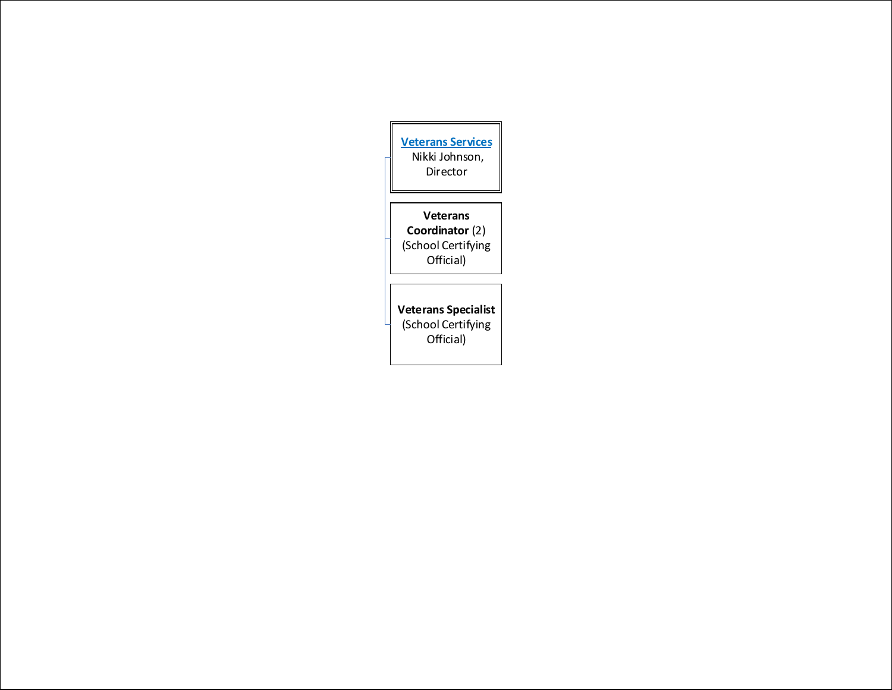<span id="page-19-0"></span>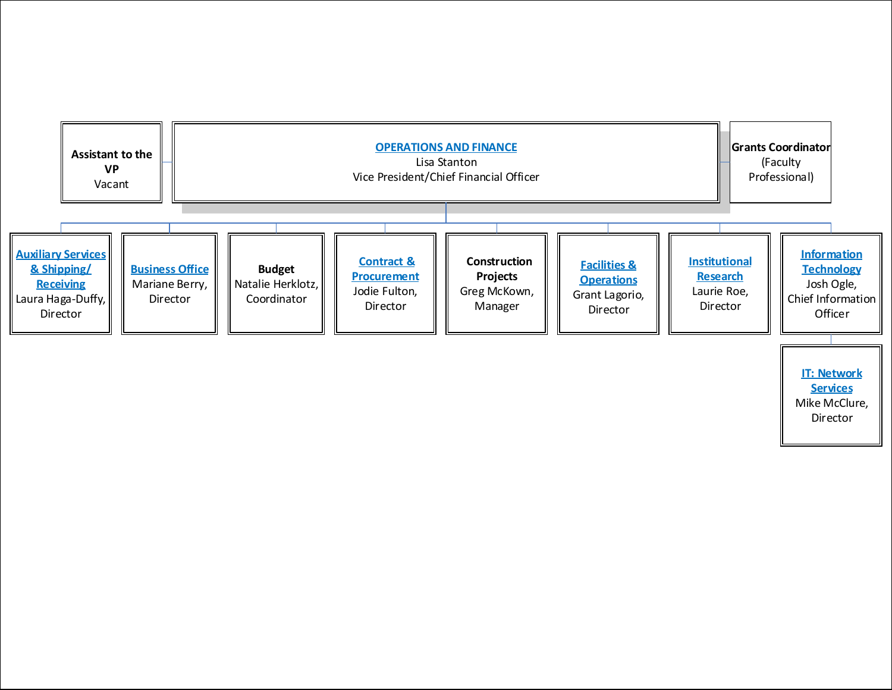<span id="page-20-0"></span>

[Mike McClure,](#page-26-0) Director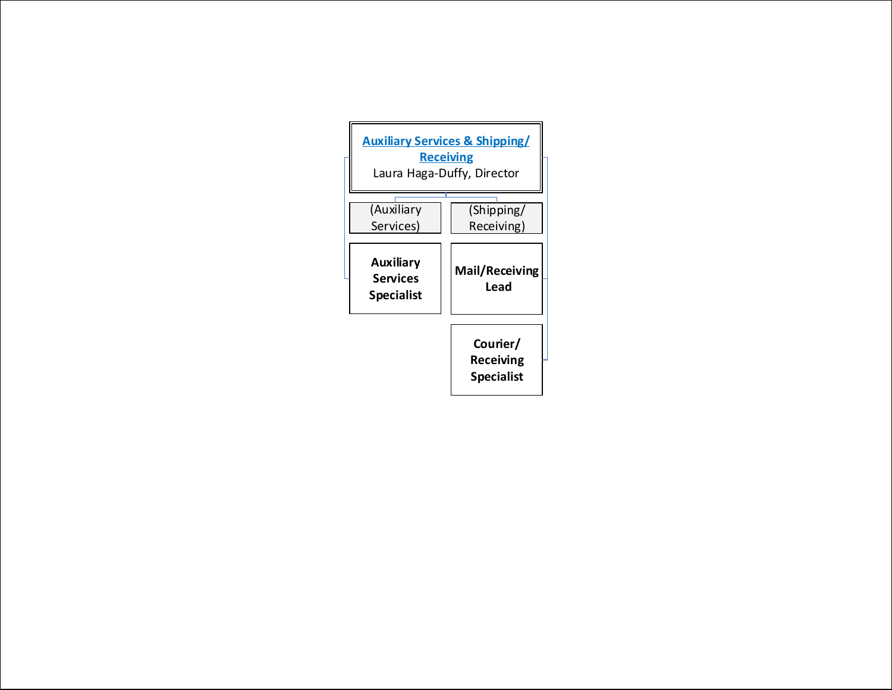| <b>Auxiliary Services &amp; Shipping/</b><br><b>Receiving</b><br>Laura Haga-Duffy, Director |                                            |  |
|---------------------------------------------------------------------------------------------|--------------------------------------------|--|
| (Auxiliary<br>Services)                                                                     | (Shipping/<br>Receiving)                   |  |
| <b>Auxiliary</b><br><b>Services</b><br><b>Specialist</b>                                    | <b>Mail/Receiving</b><br>Lead              |  |
|                                                                                             | Courier/<br>Receiving<br><b>Specialist</b> |  |

<span id="page-21-0"></span> $\overline{r}$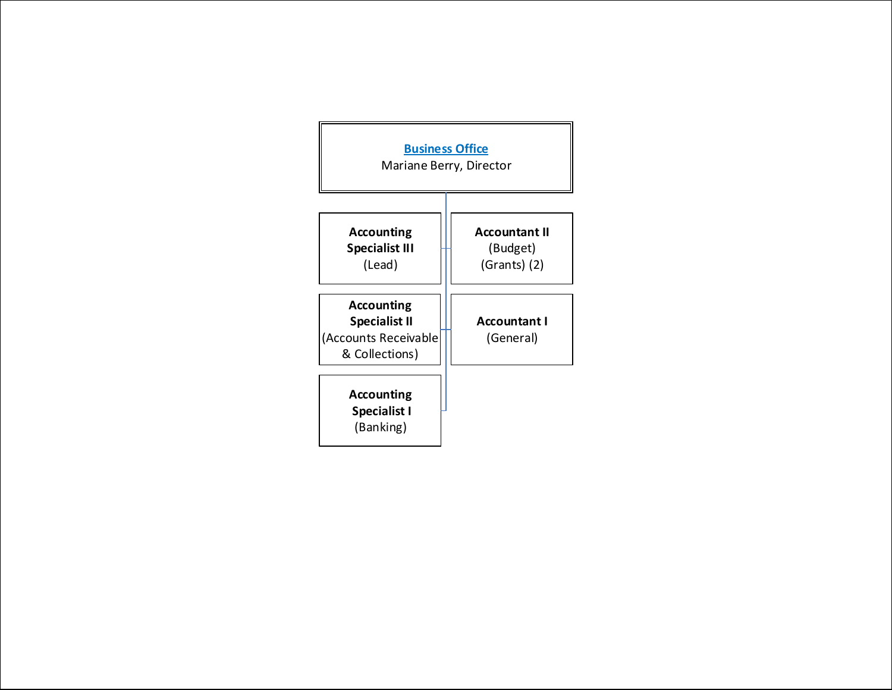<span id="page-22-0"></span>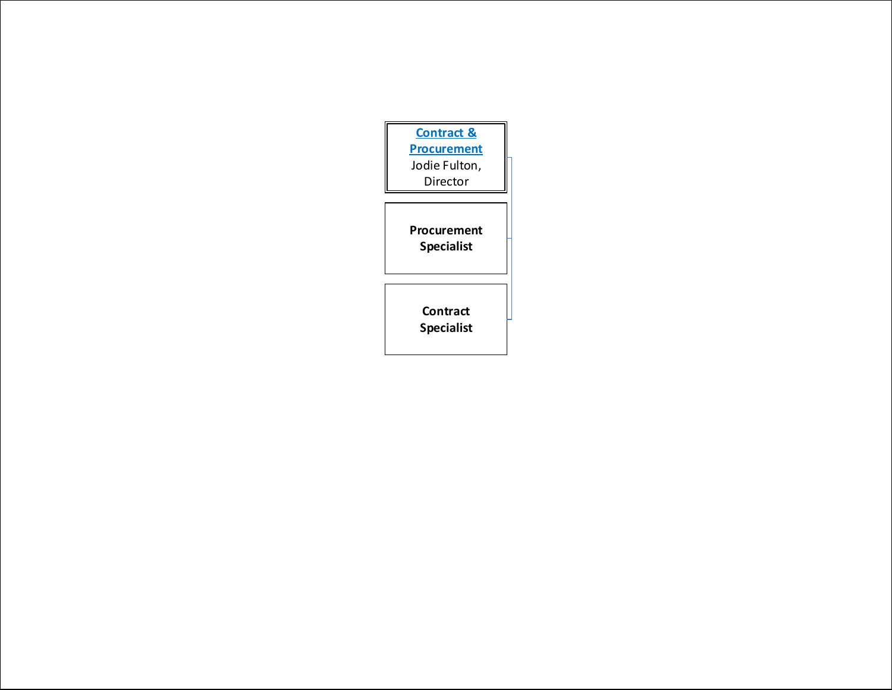<span id="page-23-0"></span>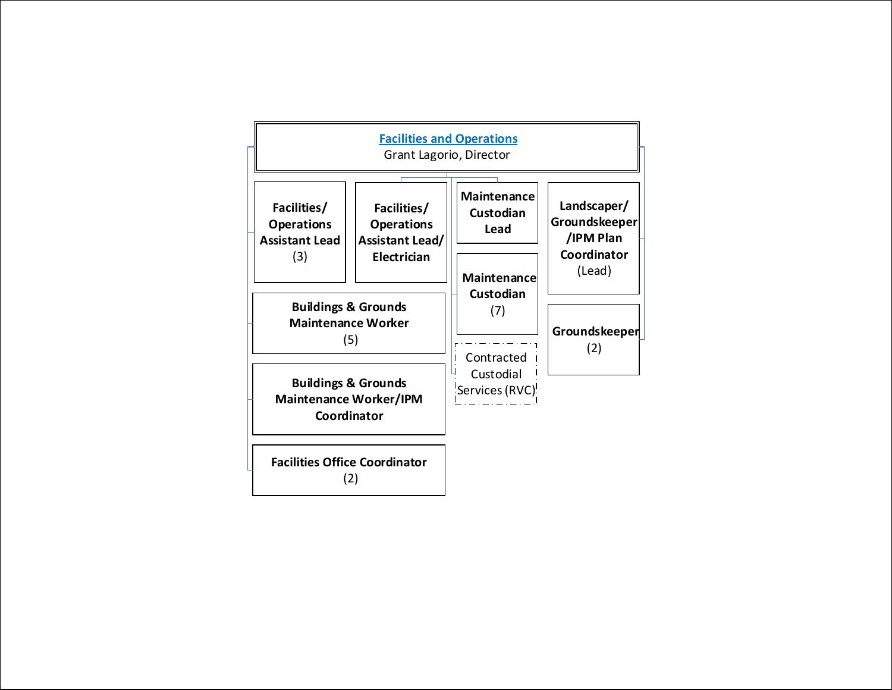<span id="page-24-0"></span>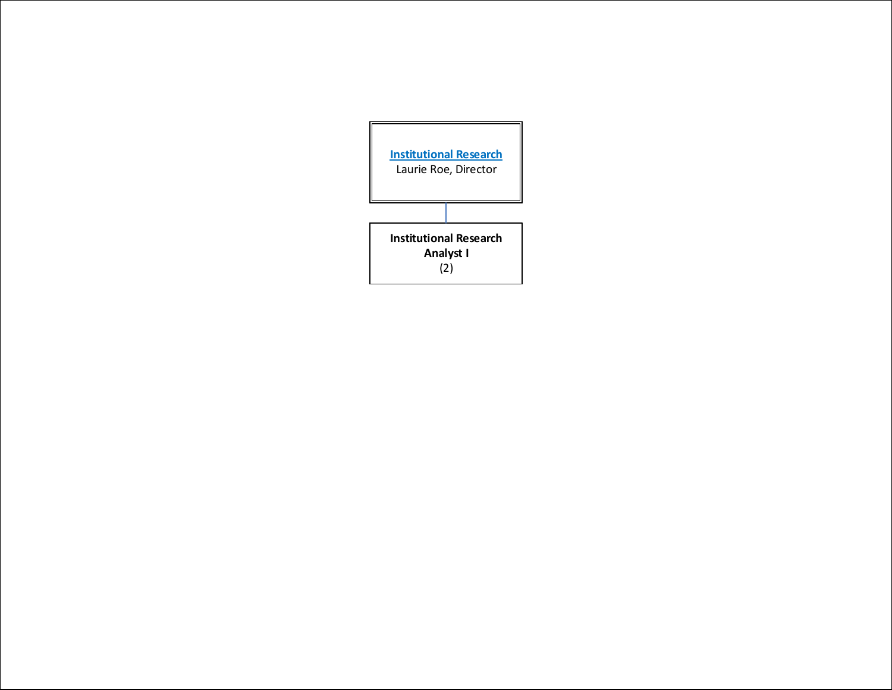<span id="page-25-0"></span>